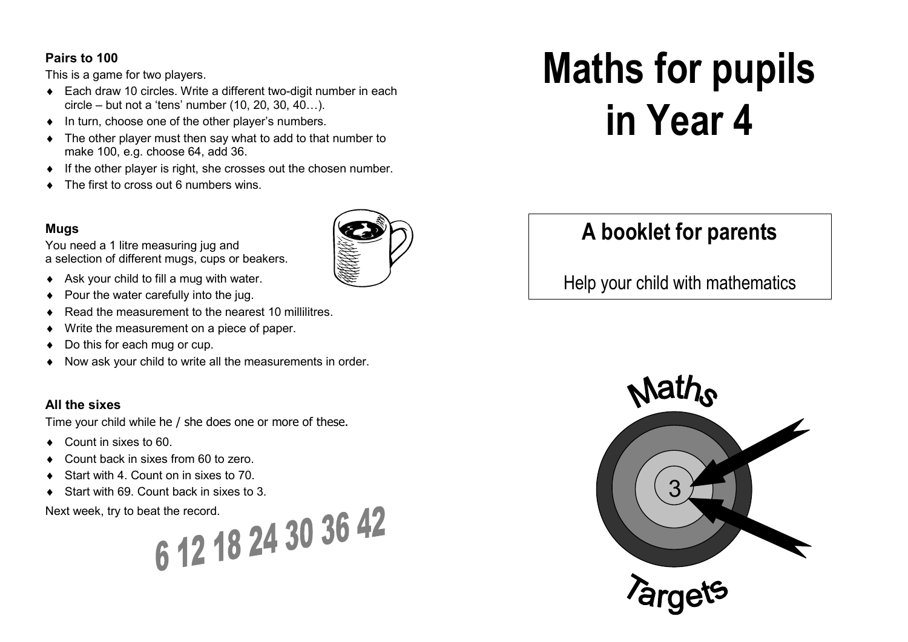#### **Pairs to 100**

This is a game for two players.

- ♦ Each draw 10 circles. Write a different two-digit number in each circle – but not a 'tens' number (10, 20, 30, 40…).
- ♦ In turn, choose one of the other player's numbers.
- The other player must then say what to add to that number to make 100, e.g. choose 64, add 36.
- ♦ If the other player is right, she crosses out the chosen number.
- ♦ The first to cross out 6 numbers wins.

#### **Mugs**

You need a 1 litre measuring jug and a selection of different mugs, cups or beakers.

- ♦ Ask your child to fill a mug with water.
- Pour the water carefully into the jug.
- Read the measurement to the nearest 10 millilitres.
- Write the measurement on a piece of paper.
- Do this for each mug or cup.
- ♦ Now ask your child to write all the measurements in order.

#### **All the sixes**

Time your child while he / she does one or more of these.

- ♦ Count in sixes to 60.
- Count back in sixes from 60 to zero.
- Start with 4. Count on in sixes to 70.
- Start with 69. Count back in sixes to 3.

Next week, try to beat the record.

6 12 18 24 30 36 42

# **Maths for pupils in Year 4**

## **A booklet for parents**

Help your child with mathematics